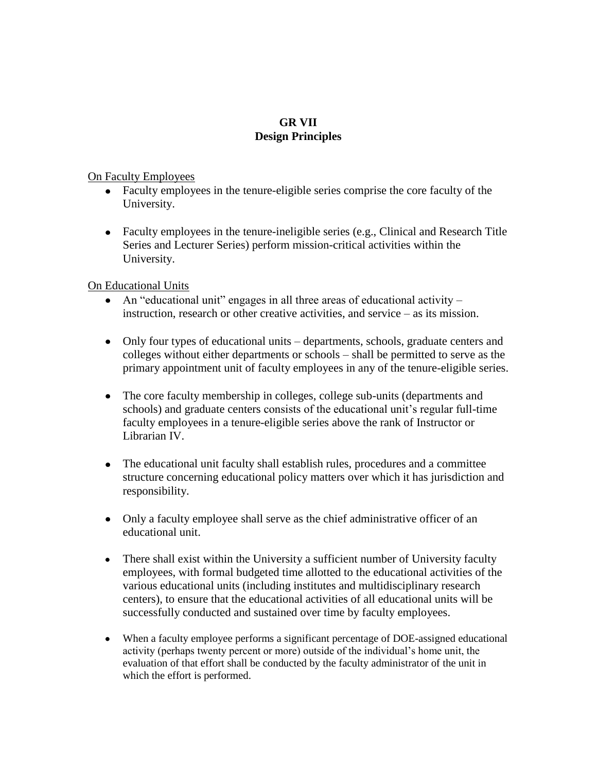## **GR VII Design Principles**

## On Faculty Employees

- Faculty employees in the tenure-eligible series comprise the core faculty of the University.
- Faculty employees in the tenure-ineligible series (e.g., Clinical and Research Title Series and Lecturer Series) perform mission-critical activities within the University.

On Educational Units

- An "educational unit" engages in all three areas of educational activity instruction, research or other creative activities, and service – as its mission.
- Only four types of educational units departments, schools, graduate centers and colleges without either departments or schools – shall be permitted to serve as the primary appointment unit of faculty employees in any of the tenure-eligible series.
- The core faculty membership in colleges, college sub-units (departments and schools) and graduate centers consists of the educational unit's regular full-time faculty employees in a tenure-eligible series above the rank of Instructor or Librarian IV.
- The educational unit faculty shall establish rules, procedures and a committee structure concerning educational policy matters over which it has jurisdiction and responsibility.
- Only a faculty employee shall serve as the chief administrative officer of an educational unit.
- There shall exist within the University a sufficient number of University faculty employees, with formal budgeted time allotted to the educational activities of the various educational units (including institutes and multidisciplinary research centers), to ensure that the educational activities of all educational units will be successfully conducted and sustained over time by faculty employees.
- When a faculty employee performs a significant percentage of DOE-assigned educational activity (perhaps twenty percent or more) outside of the individual's home unit, the evaluation of that effort shall be conducted by the faculty administrator of the unit in which the effort is performed.